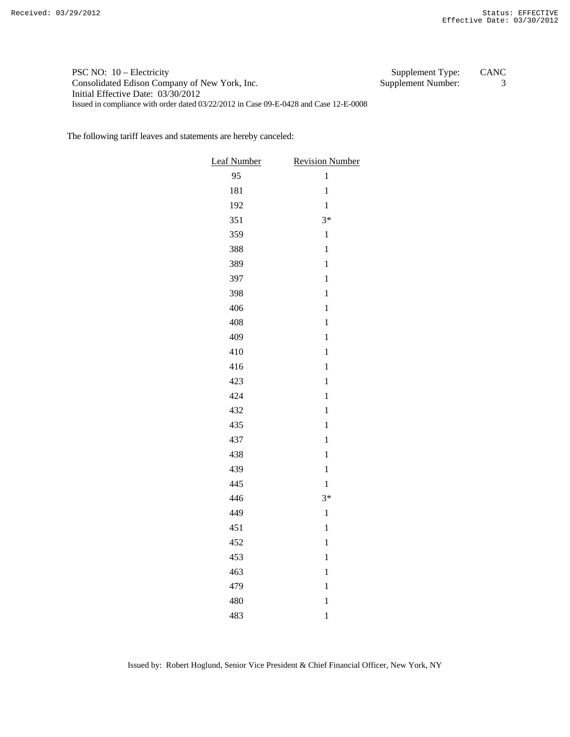## PSC NO: 10 – Electricity Supplement Type: CANC Consolidated Edison Company of New York, Inc. Supplement Number: 3 Initial Effective Date: 03/30/2012 Issued in compliance with order dated 03/22/2012 in Case 09-E-0428 and Case 12-E-0008

The following tariff leaves and statements are hereby canceled:

| <b>Leaf Number</b> | <b>Revision Number</b> |  |
|--------------------|------------------------|--|
| 95                 | $\mathbf{1}$           |  |
| 181                | $\mathbf 1$            |  |
| 192                | $\mathbf 1$            |  |
| 351                | $3*$                   |  |
| 359                | $\mathbf{1}$           |  |
| 388                | $\mathbf{1}$           |  |
| 389                | $\mathbf{1}$           |  |
| 397                | $\mathbf{1}$           |  |
| 398                | $\mathbf{1}$           |  |
| 406                | $\mathbf 1$            |  |
| 408                | $\mathbf{1}$           |  |
| 409                | $\mathbf{1}$           |  |
| 410                | $\mathbf{1}$           |  |
| 416                | $\mathbf{1}$           |  |
| 423                | $\mathbf{1}$           |  |
| 424                | $\mathbf{1}$           |  |
| 432                | $\mathbf{1}$           |  |
| 435                | $\mathbf{1}$           |  |
| 437                | $\mathbf{1}$           |  |
| 438                | $\mathbf{1}$           |  |
| 439                | $\mathbf{1}$           |  |
| 445                | $\mathbf{1}$           |  |
| 446                | $3*$                   |  |
| 449                | $\mathbf 1$            |  |
| 451                | $\mathbf{1}$           |  |
| 452                | $\mathbf{1}$           |  |
| 453                | $\mathbf{1}$           |  |
| 463                | $\mathbf{1}$           |  |
| 479                | $\mathbf{1}$           |  |
| 480                | $\mathbf 1$            |  |
| 483                | $\mathbf{1}$           |  |